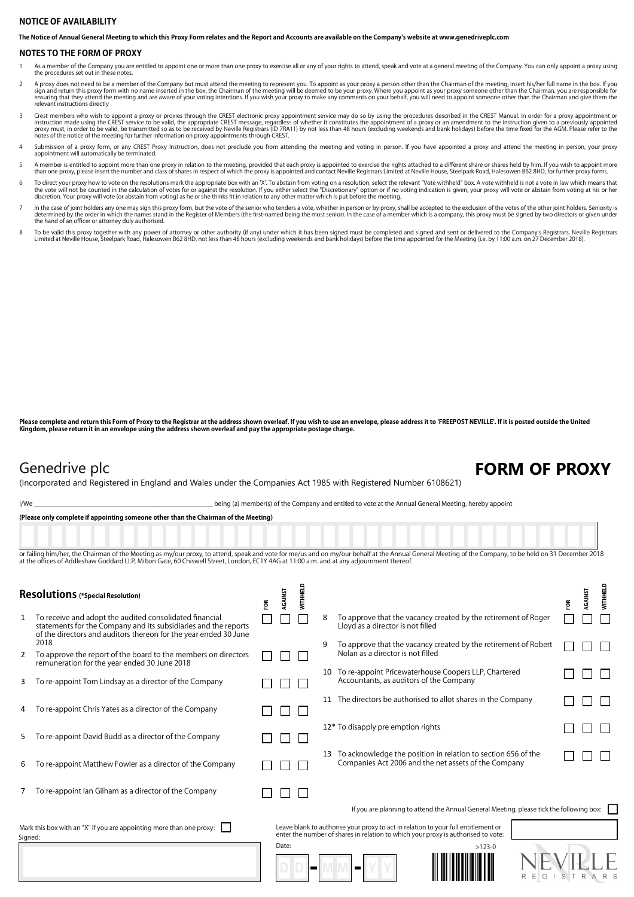## **NOTICE OF AVAILABILITY**

**The Notice of Annual General Meeting to which this Proxy Form relates and the Report and Accounts are available on the Company's website at www.genedriveplc.com**

### **NOTES TO THE FORM OF PROXY**

1 As a member of the Company you are entitled to appoint one or more than one proxy to exercise all or any of your rights to attend, speak and vote at a general meeting of the Company. You can only appoint a proxy using the procedures set out in these notes.

- A proxy does not need to be a member of the Company but must attend the meeting to represent you. To appoint as your proxy a person other than the Chairman of the meeting, insert his/her full name in the box. If you sign a
- Crest members who wish to appoint a proxy or proxies through the CREST electronic proxy appointment service may do so by using the procedures described in the CREST Manual. In order for a proxy appointment or incruction ma notes of the notice of the meeting for further information on proxy appointments through CREST.
- 4 Submission of a proxy form, or any CREST Proxy Instruction, does not preclude you from attending the meeting and voting in person. If you have appointed a proxy and attend the meeting in person, your proxy appointment will automatically be terminated.
- A member is entitled to appoint more than one proxy in relation to the meeting, provided that each proxy is appointed to exercise the rights attached to a different share or shares held by him. If you wish to appoint more
- To direct your proxy how to vote on the resolutions mark the appropriate box with an 'X'. To abstain from voting on a resolution, select the relevant "Vote witheld" box. A vote withheld is not a vote in law which means tha discretion. Your proxy will vote (or abstain from voting) as he or she thinks fit in relation to any other matter which is put before the meeting.
- In the case of joint holders any one may sign this proxy form, but the vote of the senior who tenders a vote, whether in person or by proxy, shall be accepted to the exclusion of the votes of the other joint holders. Senio the hand of an officer or attorney duly authorised.
- To be valid this proxy together with any power of attorney or other authority (if any) under which it has been signed must be completed and signed and sent or delivered to the Company's Registrars, Neville Registrars<br>Limit

**Please complete and return this Form of Proxy to the Registrar at the address shown overleaf. If you wish to use an envelope, please address it to 'FREEPOST NEVILLE'. If it is posted outside the United Kingdom, please return it in an envelope using the address shown overleaf and pay the appropriate postage charge.**

## Genedrive plc **FORM OF PROXY**

(Incorporated and Registered in England and Wales under the Companies Act 1985 with Registered Number 6108621)

I/We state of the Company and entitled to vote at the Annual General Meeting, hereby appoint

**(Please only complete if appointing someone other than the Chairman of the Meeting)**

or failing him/her, the Chairman of the Meeting as my/our proxy, to attend, speak and vote for me/us and on my/our behalf at the Annual General Meeting of the Company, to be held on 31 December 2018 at the offices of Addleshaw Goddard LLP, Milton Gate, 60 Chiswell Street, London, EC1Y 4AG at 11:00 a.m. and at any adjournment thereof.

| <b>Resolutions</b> (*Special Resolution)                                        |                                                                                                                                                                                                | ã | <b>GAINST</b> | <b>WITHHELD</b> |                |                                                                                                                                                                         | ã | <b>GAINST</b> | <b>WITHHELD</b> |
|---------------------------------------------------------------------------------|------------------------------------------------------------------------------------------------------------------------------------------------------------------------------------------------|---|---------------|-----------------|----------------|-------------------------------------------------------------------------------------------------------------------------------------------------------------------------|---|---------------|-----------------|
| 1                                                                               | To receive and adopt the audited consolidated financial<br>statements for the Company and its subsidiaries and the reports<br>of the directors and auditors thereon for the year ended 30 June |   |               |                 | 8              | To approve that the vacancy created by the retirement of Roger<br>Lloyd as a director is not filled                                                                     |   |               |                 |
| 2                                                                               | 2018<br>To approve the report of the board to the members on directors<br>remuneration for the year ended 30 June 2018                                                                         |   |               |                 | 9              | To approve that the vacancy created by the retirement of Robert<br>Nolan as a director is not filled                                                                    |   |               |                 |
| 3                                                                               | To re-appoint Tom Lindsay as a director of the Company                                                                                                                                         |   |               |                 |                | 10 To re-appoint Pricewaterhouse Coopers LLP, Chartered<br>Accountants, as auditors of the Company                                                                      |   |               |                 |
| 4                                                                               | To re-appoint Chris Yates as a director of the Company                                                                                                                                         |   |               |                 |                | 11 The directors be authorised to allot shares in the Company                                                                                                           |   |               |                 |
| 5                                                                               | To re-appoint David Budd as a director of the Company                                                                                                                                          |   |               |                 |                | 12* To disapply pre emption rights                                                                                                                                      |   |               |                 |
| 6                                                                               | To re-appoint Matthew Fowler as a director of the Company                                                                                                                                      |   |               |                 |                | To acknowledge the position in relation to section 656 of the<br>Companies Act 2006 and the net assets of the Company                                                   |   |               |                 |
|                                                                                 | To re-appoint lan Gilham as a director of the Company                                                                                                                                          |   |               |                 |                |                                                                                                                                                                         |   |               |                 |
|                                                                                 |                                                                                                                                                                                                |   |               |                 |                | If you are planning to attend the Annual General Meeting, please tick the following box:                                                                                |   |               |                 |
| Mark this box with an "X" if you are appointing more than one proxy:<br>Signed: |                                                                                                                                                                                                |   |               |                 |                | Leave blank to authorise your proxy to act in relation to your full entitlement or<br>enter the number of shares in relation to which your proxy is authorised to vote: |   |               |                 |
|                                                                                 |                                                                                                                                                                                                |   | Date:         |                 | $\blacksquare$ | $>123-0$<br>R<br>G                                                                                                                                                      |   |               |                 |